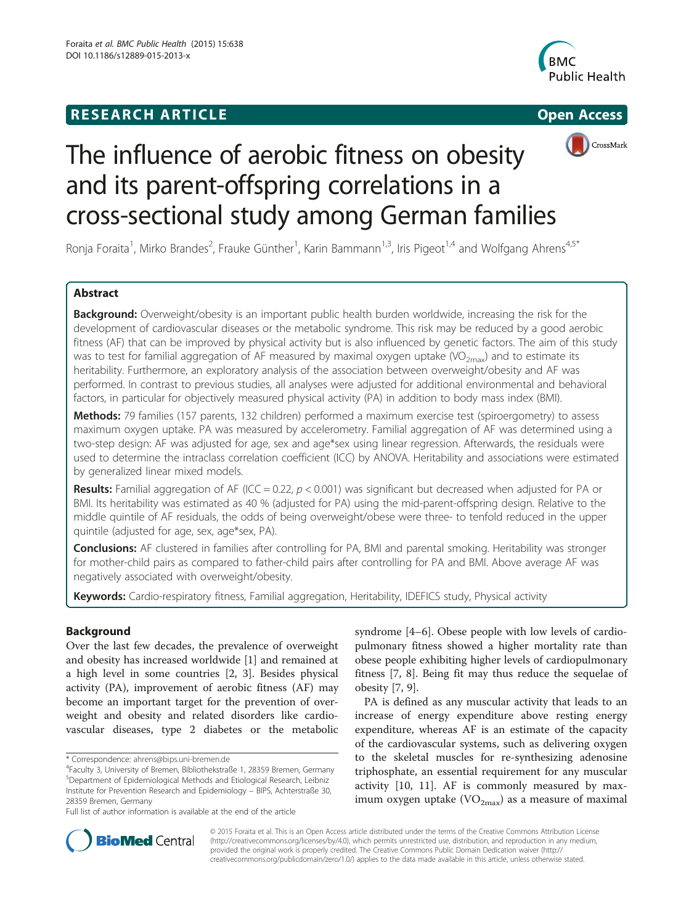# **RESEARCH ARTICLE Example 2014 12:30 The SEAR CHIPS 2014 12:30 The Open Access**







# The influence of aerobic fitness on obesity and its parent-offspring correlations in a cross-sectional study among German families

Ronja Foraita<sup>1</sup>, Mirko Brandes<sup>2</sup>, Frauke Günther<sup>1</sup>, Karin Bammann<sup>1,3</sup>, Iris Pigeot<sup>1,4</sup> and Wolfgang Ahrens<sup>4,5\*</sup>

# Abstract

Background: Overweight/obesity is an important public health burden worldwide, increasing the risk for the development of cardiovascular diseases or the metabolic syndrome. This risk may be reduced by a good aerobic fitness (AF) that can be improved by physical activity but is also influenced by genetic factors. The aim of this study was to test for familial aggregation of AF measured by maximal oxygen uptake (VO<sub>2max</sub>) and to estimate its heritability. Furthermore, an exploratory analysis of the association between overweight/obesity and AF was performed. In contrast to previous studies, all analyses were adjusted for additional environmental and behavioral factors, in particular for objectively measured physical activity (PA) in addition to body mass index (BMI).

Methods: 79 families (157 parents, 132 children) performed a maximum exercise test (spiroergometry) to assess maximum oxygen uptake. PA was measured by accelerometry. Familial aggregation of AF was determined using a two-step design: AF was adjusted for age, sex and age\*sex using linear regression. Afterwards, the residuals were used to determine the intraclass correlation coefficient (ICC) by ANOVA. Heritability and associations were estimated by generalized linear mixed models.

**Results:** Familial aggregation of AF (ICC = 0.22,  $p < 0.001$ ) was significant but decreased when adjusted for PA or BMI. Its heritability was estimated as 40 % (adjusted for PA) using the mid-parent-offspring design. Relative to the middle quintile of AF residuals, the odds of being overweight/obese were three- to tenfold reduced in the upper quintile (adjusted for age, sex, age\*sex, PA).

Conclusions: AF clustered in families after controlling for PA, BMI and parental smoking. Heritability was stronger for mother-child pairs as compared to father-child pairs after controlling for PA and BMI. Above average AF was negatively associated with overweight/obesity.

Keywords: Cardio-respiratory fitness, Familial aggregation, Heritability, IDEFICS study, Physical activity

# **Background**

Over the last few decades, the prevalence of overweight and obesity has increased worldwide [[1\]](#page-7-0) and remained at a high level in some countries [\[2](#page-7-0), [3](#page-7-0)]. Besides physical activity (PA), improvement of aerobic fitness (AF) may become an important target for the prevention of overweight and obesity and related disorders like cardiovascular diseases, type 2 diabetes or the metabolic syndrome [\[4](#page-7-0)–[6\]](#page-7-0). Obese people with low levels of cardiopulmonary fitness showed a higher mortality rate than obese people exhibiting higher levels of cardiopulmonary fitness [[7, 8\]](#page-7-0). Being fit may thus reduce the sequelae of obesity [\[7](#page-7-0), [9](#page-7-0)].

PA is defined as any muscular activity that leads to an increase of energy expenditure above resting energy expenditure, whereas AF is an estimate of the capacity of the cardiovascular systems, such as delivering oxygen to the skeletal muscles for re-synthesizing adenosine triphosphate, an essential requirement for any muscular activity [\[10](#page-7-0), [11](#page-7-0)]. AF is commonly measured by maximum oxygen uptake  $(VO_{2max})$  as a measure of maximal



© 2015 Foraita et al. This is an Open Access article distributed under the terms of the Creative Commons Attribution License [\(http://creativecommons.org/licenses/by/4.0\)](http://creativecommons.org/licenses/by/4.0), which permits unrestricted use, distribution, and reproduction in any medium, provided the original work is properly credited. The Creative Commons Public Domain Dedication waiver [\(http://](http://creativecommons.org/publicdomain/zero/1.0/) [creativecommons.org/publicdomain/zero/1.0/\)](http://creativecommons.org/publicdomain/zero/1.0/) applies to the data made available in this article, unless otherwise stated.

<sup>\*</sup> Correspondence: [ahrens@bips.uni-bremen.de](mailto:ahrens@bips.uni-bremen.de) <sup>4</sup>

<sup>&</sup>lt;sup>4</sup>Faculty 3, University of Bremen, Bibliothekstraße 1, 28359 Bremen, Germany 5 Department of Epidemiological Methods and Etiological Research, Leibniz Institute for Prevention Research and Epidemiology – BIPS, Achterstraße 30, 28359 Bremen, Germany

Full list of author information is available at the end of the article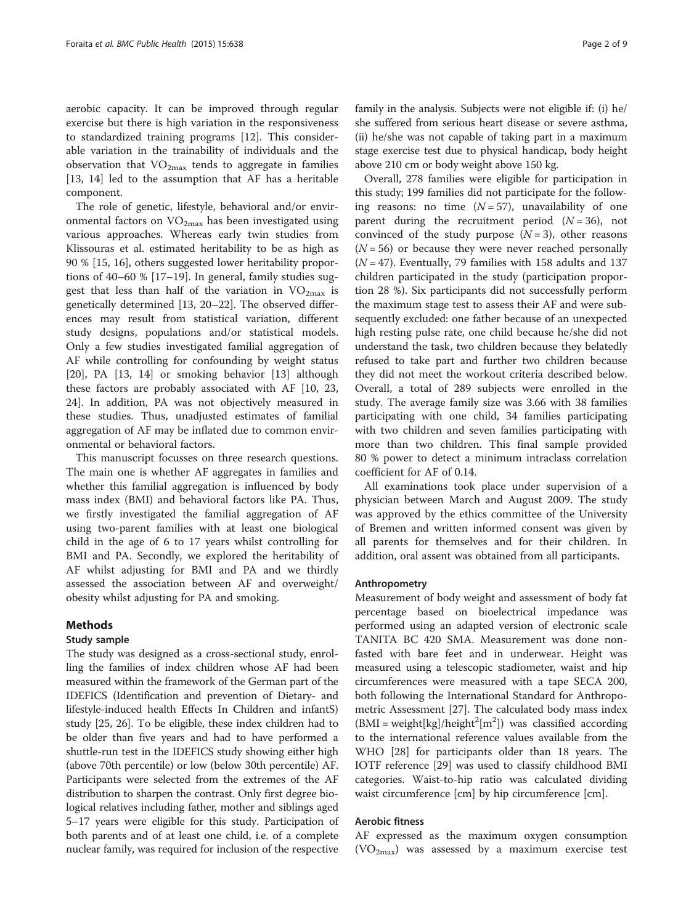aerobic capacity. It can be improved through regular exercise but there is high variation in the responsiveness to standardized training programs [[12\]](#page-7-0). This considerable variation in the trainability of individuals and the observation that  $VO<sub>2max</sub>$  tends to aggregate in families [[13, 14\]](#page-8-0) led to the assumption that AF has a heritable component.

The role of genetic, lifestyle, behavioral and/or environmental factors on  $VO_{2max}$  has been investigated using various approaches. Whereas early twin studies from Klissouras et al. estimated heritability to be as high as 90 % [[15](#page-8-0), [16](#page-8-0)], others suggested lower heritability proportions of 40–60 % [[17](#page-8-0)–[19\]](#page-8-0). In general, family studies suggest that less than half of the variation in  $VO_{2max}$  is genetically determined [\[13](#page-8-0), [20](#page-8-0)–[22](#page-8-0)]. The observed differences may result from statistical variation, different study designs, populations and/or statistical models. Only a few studies investigated familial aggregation of AF while controlling for confounding by weight status [[20\]](#page-8-0), PA [\[13](#page-8-0), [14\]](#page-8-0) or smoking behavior [\[13\]](#page-8-0) although these factors are probably associated with AF [[10,](#page-7-0) [23](#page-8-0), [24\]](#page-8-0). In addition, PA was not objectively measured in these studies. Thus, unadjusted estimates of familial aggregation of AF may be inflated due to common environmental or behavioral factors.

This manuscript focusses on three research questions. The main one is whether AF aggregates in families and whether this familial aggregation is influenced by body mass index (BMI) and behavioral factors like PA. Thus, we firstly investigated the familial aggregation of AF using two-parent families with at least one biological child in the age of 6 to 17 years whilst controlling for BMI and PA. Secondly, we explored the heritability of AF whilst adjusting for BMI and PA and we thirdly assessed the association between AF and overweight/ obesity whilst adjusting for PA and smoking.

## Methods

## Study sample

The study was designed as a cross-sectional study, enrolling the families of index children whose AF had been measured within the framework of the German part of the IDEFICS (Identification and prevention of Dietary- and lifestyle-induced health Effects In Children and infantS) study [[25](#page-8-0), [26](#page-8-0)]. To be eligible, these index children had to be older than five years and had to have performed a shuttle-run test in the IDEFICS study showing either high (above 70th percentile) or low (below 30th percentile) AF. Participants were selected from the extremes of the AF distribution to sharpen the contrast. Only first degree biological relatives including father, mother and siblings aged 5–17 years were eligible for this study. Participation of both parents and of at least one child, i.e. of a complete nuclear family, was required for inclusion of the respective family in the analysis. Subjects were not eligible if: (i) he/ she suffered from serious heart disease or severe asthma, (ii) he/she was not capable of taking part in a maximum stage exercise test due to physical handicap, body height above 210 cm or body weight above 150 kg.

Overall, 278 families were eligible for participation in this study; 199 families did not participate for the following reasons: no time  $(N = 57)$ , unavailability of one parent during the recruitment period  $(N = 36)$ , not convinced of the study purpose  $(N = 3)$ , other reasons  $(N = 56)$  or because they were never reached personally  $(N = 47)$ . Eventually, 79 families with 158 adults and 137 children participated in the study (participation proportion 28 %). Six participants did not successfully perform the maximum stage test to assess their AF and were subsequently excluded: one father because of an unexpected high resting pulse rate, one child because he/she did not understand the task, two children because they belatedly refused to take part and further two children because they did not meet the workout criteria described below. Overall, a total of 289 subjects were enrolled in the study. The average family size was 3.66 with 38 families participating with one child, 34 families participating with two children and seven families participating with more than two children. This final sample provided 80 % power to detect a minimum intraclass correlation coefficient for AF of 0.14.

All examinations took place under supervision of a physician between March and August 2009. The study was approved by the ethics committee of the University of Bremen and written informed consent was given by all parents for themselves and for their children. In addition, oral assent was obtained from all participants.

#### Anthropometry

Measurement of body weight and assessment of body fat percentage based on bioelectrical impedance was performed using an adapted version of electronic scale TANITA BC 420 SMA. Measurement was done nonfasted with bare feet and in underwear. Height was measured using a telescopic stadiometer, waist and hip circumferences were measured with a tape SECA 200, both following the International Standard for Anthropometric Assessment [\[27](#page-8-0)]. The calculated body mass index  $(BMI = weight[kg]/height<sup>2</sup>[m<sup>2</sup>])$  was classified according to the international reference values available from the WHO [[28](#page-8-0)] for participants older than 18 years. The IOTF reference [\[29\]](#page-8-0) was used to classify childhood BMI categories. Waist-to-hip ratio was calculated dividing waist circumference [cm] by hip circumference [cm].

#### Aerobic fitness

AF expressed as the maximum oxygen consumption  $(VO<sub>2max</sub>)$  was assessed by a maximum exercise test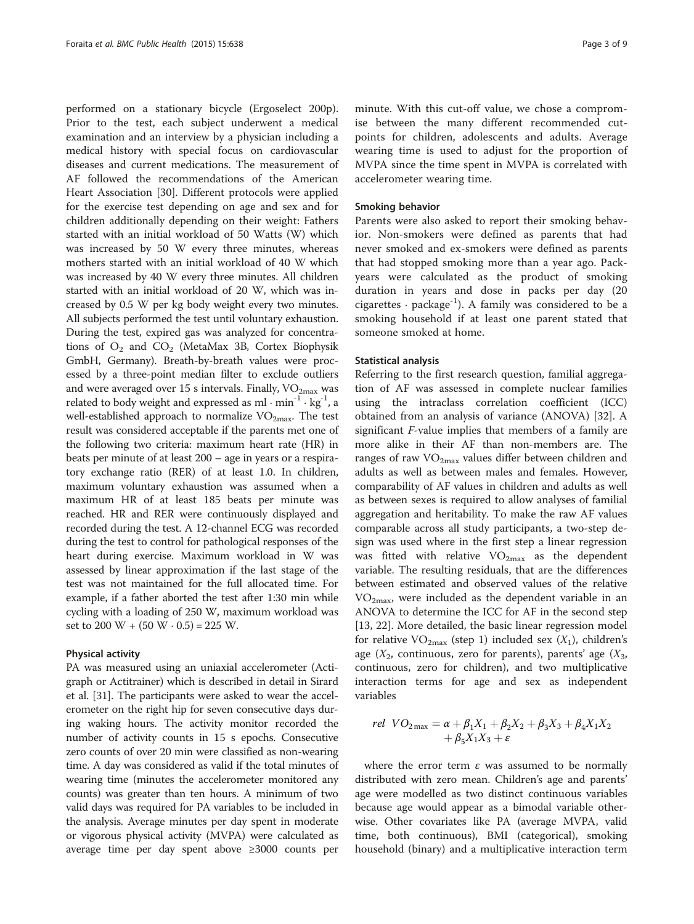performed on a stationary bicycle (Ergoselect 200p). Prior to the test, each subject underwent a medical examination and an interview by a physician including a medical history with special focus on cardiovascular diseases and current medications. The measurement of AF followed the recommendations of the American Heart Association [[30](#page-8-0)]. Different protocols were applied for the exercise test depending on age and sex and for children additionally depending on their weight: Fathers started with an initial workload of 50 Watts (W) which was increased by 50 W every three minutes, whereas mothers started with an initial workload of 40 W which was increased by 40 W every three minutes. All children started with an initial workload of 20 W, which was increased by 0.5 W per kg body weight every two minutes. All subjects performed the test until voluntary exhaustion. During the test, expired gas was analyzed for concentrations of  $O_2$  and  $CO_2$  (MetaMax 3B, Cortex Biophysik GmbH, Germany). Breath-by-breath values were processed by a three-point median filter to exclude outliers and were averaged over 15 s intervals. Finally,  $VO<sub>2max</sub>$  was related to body weight and expressed as ml  $\cdot$  min<sup>-1</sup>  $\cdot$  kg<sup>-1</sup>, a well-established approach to normalize  $VO<sub>2max</sub>$ . The test result was considered acceptable if the parents met one of the following two criteria: maximum heart rate (HR) in beats per minute of at least 200 – age in years or a respiratory exchange ratio (RER) of at least 1.0. In children, maximum voluntary exhaustion was assumed when a maximum HR of at least 185 beats per minute was reached. HR and RER were continuously displayed and recorded during the test. A 12-channel ECG was recorded during the test to control for pathological responses of the heart during exercise. Maximum workload in W was assessed by linear approximation if the last stage of the test was not maintained for the full allocated time. For example, if a father aborted the test after 1:30 min while cycling with a loading of 250 W, maximum workload was set to 200 W +  $(50 W \cdot 0.5) = 225 W$ .

#### Physical activity

PA was measured using an uniaxial accelerometer (Actigraph or Actitrainer) which is described in detail in Sirard et al. [[31](#page-8-0)]. The participants were asked to wear the accelerometer on the right hip for seven consecutive days during waking hours. The activity monitor recorded the number of activity counts in 15 s epochs. Consecutive zero counts of over 20 min were classified as non-wearing time. A day was considered as valid if the total minutes of wearing time (minutes the accelerometer monitored any counts) was greater than ten hours. A minimum of two valid days was required for PA variables to be included in the analysis. Average minutes per day spent in moderate or vigorous physical activity (MVPA) were calculated as average time per day spent above ≥3000 counts per

minute. With this cut-off value, we chose a compromise between the many different recommended cutpoints for children, adolescents and adults. Average wearing time is used to adjust for the proportion of MVPA since the time spent in MVPA is correlated with accelerometer wearing time.

#### Smoking behavior

Parents were also asked to report their smoking behavior. Non-smokers were defined as parents that had never smoked and ex-smokers were defined as parents that had stopped smoking more than a year ago. Packyears were calculated as the product of smoking duration in years and dose in packs per day (20 cigarettes  $\cdot$  package<sup>-1</sup>). A family was considered to be a smoking household if at least one parent stated that someone smoked at home.

#### Statistical analysis

Referring to the first research question, familial aggregation of AF was assessed in complete nuclear families using the intraclass correlation coefficient (ICC) obtained from an analysis of variance (ANOVA) [[32\]](#page-8-0). A significant F-value implies that members of a family are more alike in their AF than non-members are. The ranges of raw  $VO<sub>2max</sub>$  values differ between children and adults as well as between males and females. However, comparability of AF values in children and adults as well as between sexes is required to allow analyses of familial aggregation and heritability. To make the raw AF values comparable across all study participants, a two-step design was used where in the first step a linear regression was fitted with relative  $VO_{2max}$  as the dependent variable. The resulting residuals, that are the differences between estimated and observed values of the relative  $VO<sub>2max</sub>$ , were included as the dependent variable in an ANOVA to determine the ICC for AF in the second step [[13, 22\]](#page-8-0). More detailed, the basic linear regression model for relative  $VO_{2max}$  (step 1) included sex  $(X_1)$ , children's age  $(X_2,$  continuous, zero for parents), parents' age  $(X_3,$ continuous, zero for children), and two multiplicative interaction terms for age and sex as independent variables

rel 
$$
VO_{2\max} = \alpha + \beta_1 X_1 + \beta_2 X_2 + \beta_3 X_3 + \beta_4 X_1 X_2 + \beta_5 X_1 X_3 + \varepsilon
$$

where the error term  $\varepsilon$  was assumed to be normally distributed with zero mean. Children's age and parents' age were modelled as two distinct continuous variables because age would appear as a bimodal variable otherwise. Other covariates like PA (average MVPA, valid time, both continuous), BMI (categorical), smoking household (binary) and a multiplicative interaction term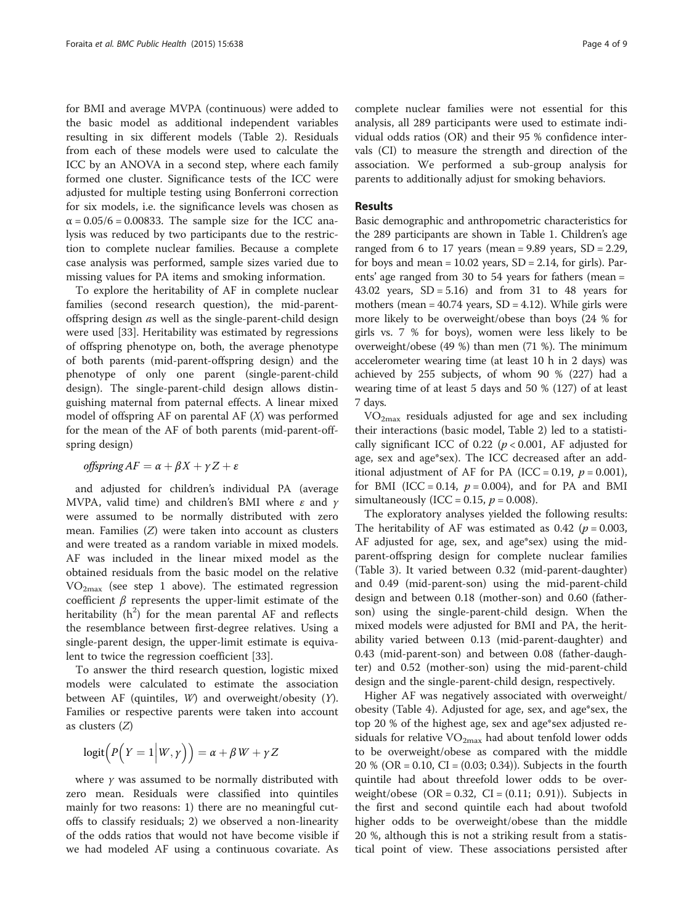for BMI and average MVPA (continuous) were added to the basic model as additional independent variables resulting in six different models (Table [2](#page-5-0)). Residuals from each of these models were used to calculate the ICC by an ANOVA in a second step, where each family formed one cluster. Significance tests of the ICC were adjusted for multiple testing using Bonferroni correction for six models, i.e. the significance levels was chosen as  $\alpha$  = 0.05/6 = 0.00833. The sample size for the ICC analysis was reduced by two participants due to the restriction to complete nuclear families. Because a complete case analysis was performed, sample sizes varied due to missing values for PA items and smoking information.

To explore the heritability of AF in complete nuclear families (second research question), the mid-parentoffspring design as well as the single-parent-child design were used [\[33](#page-8-0)]. Heritability was estimated by regressions of offspring phenotype on, both, the average phenotype of both parents (mid-parent-offspring design) and the phenotype of only one parent (single-parent-child design). The single-parent-child design allows distinguishing maternal from paternal effects. A linear mixed model of offspring AF on parental AF  $(X)$  was performed for the mean of the AF of both parents (mid-parent-offspring design)

## offspring  $AF = \alpha + \beta X + \gamma Z + \varepsilon$

and adjusted for children's individual PA (average MVPA, valid time) and children's BMI where  $\varepsilon$  and  $\gamma$ were assumed to be normally distributed with zero mean. Families (Z) were taken into account as clusters and were treated as a random variable in mixed models. AF was included in the linear mixed model as the obtained residuals from the basic model on the relative  $VO<sub>2max</sub>$  (see step 1 above). The estimated regression coefficient  $β$  represents the upper-limit estimate of the heritability  $(h^2)$  for the mean parental AF and reflects the resemblance between first-degree relatives. Using a single-parent design, the upper-limit estimate is equivalent to twice the regression coefficient [\[33](#page-8-0)].

To answer the third research question, logistic mixed models were calculated to estimate the association between AF (quintiles, W) and overweight/obesity (Y). Families or respective parents were taken into account as clusters (Z)

$$
logit(P(Y = 1|W, y)) = \alpha + \beta W + \gamma Z
$$

where  $\gamma$  was assumed to be normally distributed with zero mean. Residuals were classified into quintiles mainly for two reasons: 1) there are no meaningful cutoffs to classify residuals; 2) we observed a non-linearity of the odds ratios that would not have become visible if we had modeled AF using a continuous covariate. As

complete nuclear families were not essential for this analysis, all 289 participants were used to estimate individual odds ratios (OR) and their 95 % confidence intervals (CI) to measure the strength and direction of the association. We performed a sub-group analysis for parents to additionally adjust for smoking behaviors.

#### Results

Basic demographic and anthropometric characteristics for the 289 participants are shown in Table [1](#page-4-0). Children's age ranged from 6 to 17 years (mean =  $9.89$  years, SD =  $2.29$ , for boys and mean =  $10.02$  years,  $SD = 2.14$ , for girls). Parents' age ranged from 30 to 54 years for fathers (mean = 43.02 years,  $SD = 5.16$ ) and from 31 to 48 years for mothers (mean  $= 40.74$  years, SD  $= 4.12$ ). While girls were more likely to be overweight/obese than boys (24 % for girls vs. 7 % for boys), women were less likely to be overweight/obese (49 %) than men (71 %). The minimum accelerometer wearing time (at least 10 h in 2 days) was achieved by 255 subjects, of whom 90 % (227) had a wearing time of at least 5 days and 50 % (127) of at least 7 days.

 $VO<sub>2max</sub>$  residuals adjusted for age and sex including their interactions (basic model, Table [2\)](#page-5-0) led to a statistically significant ICC of 0.22 ( $p < 0.001$ , AF adjusted for age, sex and age\*sex). The ICC decreased after an additional adjustment of AF for PA (ICC = 0.19,  $p = 0.001$ ), for BMI (ICC = 0.14,  $p = 0.004$ ), and for PA and BMI simultaneously (ICC = 0.15,  $p = 0.008$ ).

The exploratory analyses yielded the following results: The heritability of AF was estimated as 0.42 ( $p = 0.003$ , AF adjusted for age, sex, and age\*sex) using the midparent-offspring design for complete nuclear families (Table [3](#page-5-0)). It varied between 0.32 (mid-parent-daughter) and 0.49 (mid-parent-son) using the mid-parent-child design and between 0.18 (mother-son) and 0.60 (fatherson) using the single-parent-child design. When the mixed models were adjusted for BMI and PA, the heritability varied between 0.13 (mid-parent-daughter) and 0.43 (mid-parent-son) and between 0.08 (father-daughter) and 0.52 (mother-son) using the mid-parent-child design and the single-parent-child design, respectively.

Higher AF was negatively associated with overweight/ obesity (Table [4](#page-6-0)). Adjusted for age, sex, and age\*sex, the top 20 % of the highest age, sex and age\*sex adjusted residuals for relative  $VO_{2max}$  had about tenfold lower odds to be overweight/obese as compared with the middle 20 % (OR = 0.10, CI = (0.03; 0.34)). Subjects in the fourth quintile had about threefold lower odds to be overweight/obese  $(OR = 0.32, CI = (0.11; 0.91))$ . Subjects in the first and second quintile each had about twofold higher odds to be overweight/obese than the middle 20 %, although this is not a striking result from a statistical point of view. These associations persisted after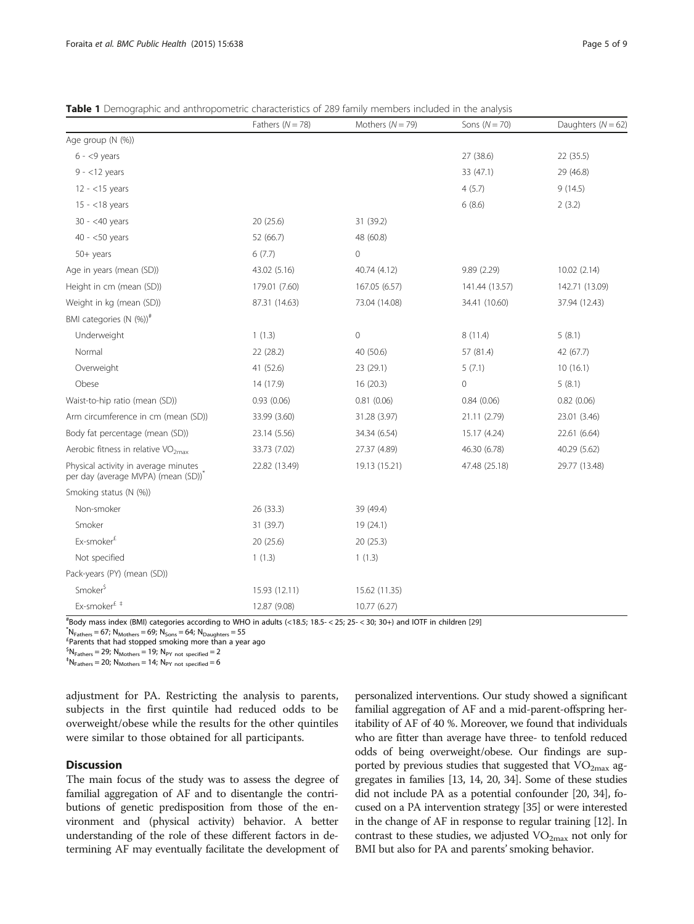<span id="page-4-0"></span>

|                                                                             | Fathers $(N = 78)$ | Mothers $(N = 79)$ | Sons $(N = 70)$ | Daughters ( $N = 62$ ) |
|-----------------------------------------------------------------------------|--------------------|--------------------|-----------------|------------------------|
| Age group (N (%))                                                           |                    |                    |                 |                        |
| $6 - 9$ years                                                               |                    |                    | 27 (38.6)       | 22 (35.5)              |
| $9 - 12$ years                                                              |                    |                    | 33 (47.1)       | 29 (46.8)              |
| $12 - 15$ years                                                             |                    |                    | 4(5.7)          | 9(14.5)                |
| $15 - < 18$ years                                                           |                    |                    | 6(8.6)          | 2(3.2)                 |
| $30 - <40$ years                                                            | 20(25.6)           | 31 (39.2)          |                 |                        |
| $40 - 50$ years                                                             | 52 (66.7)          | 48 (60.8)          |                 |                        |
| $50+$ years                                                                 | 6(7.7)             | 0                  |                 |                        |
| Age in years (mean (SD))                                                    | 43.02 (5.16)       | 40.74 (4.12)       | 9.89(2.29)      | 10.02 (2.14)           |
| Height in cm (mean (SD))                                                    | 179.01 (7.60)      | 167.05 (6.57)      | 141.44 (13.57)  | 142.71 (13.09)         |
| Weight in kg (mean (SD))                                                    | 87.31 (14.63)      | 73.04 (14.08)      | 34.41 (10.60)   | 37.94 (12.43)          |
| BMI categories (N (%)) <sup>#</sup>                                         |                    |                    |                 |                        |
| Underweight                                                                 | 1(1.3)             | 0                  | 8(11.4)         | 5(8.1)                 |
| Normal                                                                      | 22 (28.2)          | 40 (50.6)          | 57 (81.4)       | 42 (67.7)              |
| Overweight                                                                  | 41 (52.6)          | 23 (29.1)          | 5(7.1)          | 10(16.1)               |
| Obese                                                                       | 14 (17.9)          | 16 (20.3)          | $\circ$         | 5(8.1)                 |
| Waist-to-hip ratio (mean (SD))                                              | 0.93(0.06)         | 0.81(0.06)         | 0.84(0.06)      | 0.82(0.06)             |
| Arm circumference in cm (mean (SD))                                         | 33.99 (3.60)       | 31.28 (3.97)       | 21.11 (2.79)    | 23.01 (3.46)           |
| Body fat percentage (mean (SD))                                             | 23.14 (5.56)       | 34.34 (6.54)       | 15.17 (4.24)    | 22.61 (6.64)           |
| Aerobic fitness in relative VO <sub>2max</sub>                              | 33.73 (7.02)       | 27.37 (4.89)       | 46.30 (6.78)    | 40.29 (5.62)           |
| Physical activity in average minutes<br>per day (average MVPA) (mean (SD))* | 22.82 (13.49)      | 19.13 (15.21)      | 47.48 (25.18)   | 29.77 (13.48)          |
| Smoking status (N (%))                                                      |                    |                    |                 |                        |
| Non-smoker                                                                  | 26 (33.3)          | 39 (49.4)          |                 |                        |
| Smoker                                                                      | 31 (39.7)          | 19 (24.1)          |                 |                        |
| Ex-smoker <sup>£</sup>                                                      | 20 (25.6)          | 20 (25.3)          |                 |                        |
| Not specified                                                               | 1(1.3)             | 1(1.3)             |                 |                        |
| Pack-years (PY) (mean (SD))                                                 |                    |                    |                 |                        |
| Smoker <sup>\$</sup>                                                        | 15.93 (12.11)      | 15.62 (11.35)      |                 |                        |
| Ex-smoker <sup>£</sup> <sup>#</sup>                                         | 12.87 (9.08)       | 10.77 (6.27)       |                 |                        |

 $*$ Body mass index (BMI) categories according to WHO in adults (<18.5; 18.5-<25; 25-<30; 30+) and IOTF in children [[29\]](#page-8-0)<br> $*$ 

 $N_{\text{Eathers}} = 67$ ;  $N_{\text{Mothers}} = 69$ ;  $N_{\text{Sops}} = 64$ ;  $N_{\text{Dauders}} = 55$ 

Parents that had stopped smoking more than a year ago

 ${}^{5}N_{\text{Fathers}} = 29; N_{\text{Mother}} = 19; N_{\text{PY not specified}} = 2$ <br>  ${}^{+}_{\text{F}}N = 20; N_{\text{Y}} = 14; N_{\text{Y}} = 6$ 

 $N_{\text{Fathers}} = 20$ ; N<sub>Mothers</sub> = 14; N<sub>PY not specified</sub> = 6

adjustment for PA. Restricting the analysis to parents, subjects in the first quintile had reduced odds to be overweight/obese while the results for the other quintiles were similar to those obtained for all participants.

# **Discussion**

The main focus of the study was to assess the degree of familial aggregation of AF and to disentangle the contributions of genetic predisposition from those of the environment and (physical activity) behavior. A better understanding of the role of these different factors in determining AF may eventually facilitate the development of

personalized interventions. Our study showed a significant familial aggregation of AF and a mid-parent-offspring heritability of AF of 40 %. Moreover, we found that individuals who are fitter than average have three- to tenfold reduced odds of being overweight/obese. Our findings are supported by previous studies that suggested that  $VO_{2max}$  aggregates in families [\[13](#page-8-0), [14](#page-8-0), [20](#page-8-0), [34](#page-8-0)]. Some of these studies did not include PA as a potential confounder [\[20, 34\]](#page-8-0), focused on a PA intervention strategy [[35](#page-8-0)] or were interested in the change of AF in response to regular training [[12](#page-7-0)]. In contrast to these studies, we adjusted  $VO_{2max}$  not only for BMI but also for PA and parents' smoking behavior.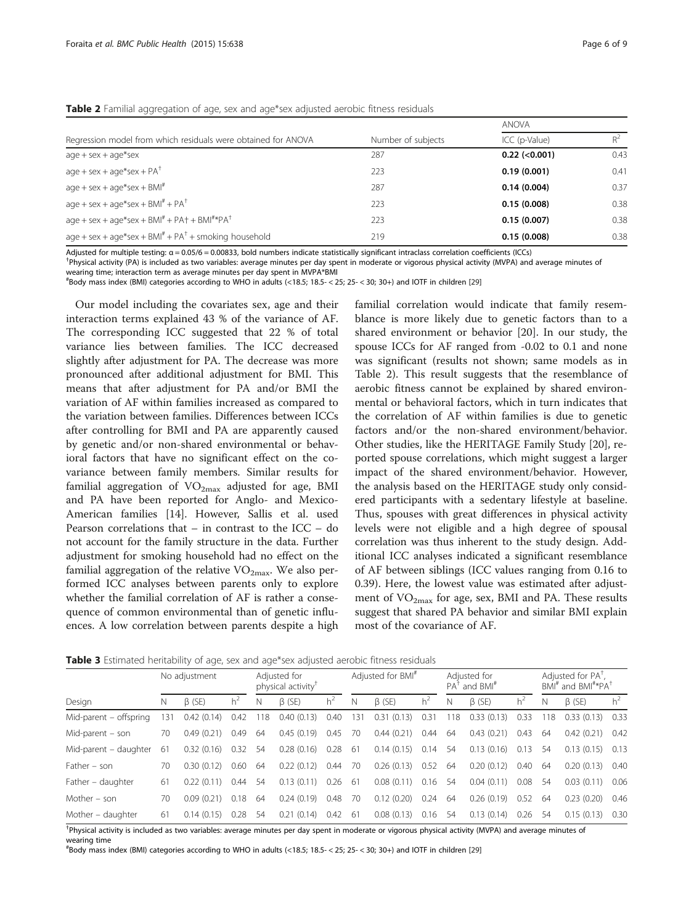|                                                                       |                    | <b>ANOVA</b>        |       |  |  |
|-----------------------------------------------------------------------|--------------------|---------------------|-------|--|--|
| Regression model from which residuals were obtained for ANOVA         | Number of subjects | ICC (p-Value)       | $R^2$ |  |  |
| $age + sex + age*sex$                                                 | 287                | $0.22$ (< $0.001$ ) | 0.43  |  |  |
| $age + sex + age*sex + PA^{\dagger}$                                  | 223                | 0.19(0.001)         | 0.41  |  |  |
| $age + sex + age*sex + BMI''$                                         | 287                | 0.14(0.004)         | 0.37  |  |  |
| $age + sex + age*sex + BMI'' + PA'$                                   | 223                | 0.15(0.008)         | 0.38  |  |  |
| $age + sex + age*sex + BMI'' + PA' + BMI''*PA'$                       | 223                | 0.15(0.007)         | 0.38  |  |  |
| age + sex + age*sex + $BMI^{\#}$ + $PA^{\dagger}$ + smoking household | 219                | 0.15(0.008)         | 0.38  |  |  |

<span id="page-5-0"></span>**Table 2** Familial aggregation of age, sex and age\*sex adjusted aerobic fitness residuals

Adjusted for multiple testing:  $\alpha = 0.05/6 = 0.00833$ , bold numbers indicate statistically significant intraclass correlation coefficients (ICCs)

<sup>+</sup>Physical activity (PA) is included as two variables: average minutes per day spent in moderate or vigorous physical activity (MVPA) and average minutes of

wearing time; interaction term as average minutes per day spent in MVPA\*BMI

# Body mass index (BMI) categories according to WHO in adults (<18.5; 18.5- < 25; 25- < 30; 30+) and IOTF in children [[29\]](#page-8-0)

Our model including the covariates sex, age and their interaction terms explained 43 % of the variance of AF. The corresponding ICC suggested that 22 % of total variance lies between families. The ICC decreased slightly after adjustment for PA. The decrease was more pronounced after additional adjustment for BMI. This means that after adjustment for PA and/or BMI the variation of AF within families increased as compared to the variation between families. Differences between ICCs after controlling for BMI and PA are apparently caused by genetic and/or non-shared environmental or behavioral factors that have no significant effect on the covariance between family members. Similar results for familial aggregation of  $VO_{2max}$  adjusted for age, BMI and PA have been reported for Anglo- and Mexico-American families [\[14](#page-8-0)]. However, Sallis et al. used Pearson correlations that – in contrast to the ICC – do not account for the family structure in the data. Further adjustment for smoking household had no effect on the familial aggregation of the relative  $VO_{2max}$ . We also performed ICC analyses between parents only to explore whether the familial correlation of AF is rather a consequence of common environmental than of genetic influences. A low correlation between parents despite a high

familial correlation would indicate that family resemblance is more likely due to genetic factors than to a shared environment or behavior [\[20](#page-8-0)]. In our study, the spouse ICCs for AF ranged from -0.02 to 0.1 and none was significant (results not shown; same models as in Table 2). This result suggests that the resemblance of aerobic fitness cannot be explained by shared environmental or behavioral factors, which in turn indicates that the correlation of AF within families is due to genetic factors and/or the non-shared environment/behavior. Other studies, like the HERITAGE Family Study [[20\]](#page-8-0), reported spouse correlations, which might suggest a larger impact of the shared environment/behavior. However, the analysis based on the HERITAGE study only considered participants with a sedentary lifestyle at baseline. Thus, spouses with great differences in physical activity levels were not eligible and a high degree of spousal correlation was thus inherent to the study design. Additional ICC analyses indicated a significant resemblance of AF between siblings (ICC values ranging from 0.16 to 0.39). Here, the lowest value was estimated after adjustment of  $VO_{2max}$  for age, sex, BMI and PA. These results suggest that shared PA behavior and similar BMI explain most of the covariance of AF.

| Table 3 Estimated heritability of age, sex and age*sex adjusted aerobic fitness residuals |  |  |
|-------------------------------------------------------------------------------------------|--|--|
|                                                                                           |  |  |

|                        | No adjustment |              | Adjusted for<br>physical activity <sup>T</sup> |     | Adjusted for BMI <sup>#</sup> |                | Adjusted for<br>$PAT$ and $BMI#$ |                | Adjusted for PA <sup>T</sup> ,<br>$BMI^{\#}$ and $BMI^{\#*}PA^{\dagger}$ |     |              |       |    |              |       |
|------------------------|---------------|--------------|------------------------------------------------|-----|-------------------------------|----------------|----------------------------------|----------------|--------------------------------------------------------------------------|-----|--------------|-------|----|--------------|-------|
| Design                 | N             | $\beta$ (SE) | $h^2$                                          | N   | $\beta$ (SE)                  | h <sup>2</sup> | N                                | $\beta$ (SE)   | $h^2$                                                                    | N   | $\beta$ (SE) | $h^2$ | N  | $\beta$ (SE) | $h^2$ |
| Mid-parent - offspring | 131           | 0.42(0.14)   | 0.42                                           | 118 | 0.40(0.13)                    | 0.40           | 131                              | (0.13)<br>0.31 | 0.31                                                                     | 118 | 0.33(0.13)   | 0.33  | 18 | 0.33(0.13)   | 0.33  |
| Mid-parent $-$ son     | 70            | 0.49(0.21)   | 0.49                                           | 64  | 0.45(0.19)                    | 0.45           | 70                               | 0.44(0.21)     | 0.44                                                                     | -64 | 0.43(0.21)   | 0.43  | 64 | 0.42(0.21)   | 0.42  |
| Mid-parent - daughter  | 61            | 0.32(0.16)   | 0.32                                           | -54 | 0.28(0.16)                    | 0.28           | -61                              | 0.14(0.15)     | 0.14                                                                     | 54  | 0.13(0.16)   | 0.13  | 54 | 0.13(0.15)   | 0.13  |
| Father - son           | 70            | 0.30(0.12)   | 0.60                                           | 64  | 0.22(0.12)                    | 0.44           | 70                               | 0.26(0.13)     | 0.52                                                                     | -64 | 0.20(0.12)   | 0.40  | 64 | 0.20(0.13)   | 0.40  |
| Father - daughter      | 61            | 0.22(0.11)   | 0.44                                           | 54  | 0.13(0.11)                    | 0.26           | -61                              | 0.08(0.11)     | 0.16                                                                     | 54  | 0.04(0.11)   | 0.08  | 54 | 0.03(0.11)   | 0.06  |
| Mother - son           | 70            | 0.09(0.21)   | 0.18                                           | 64  | 0.24(0.19)                    | 0.48           | 70                               | 0.12(0.20)     | 0.24                                                                     | 64  | 0.26(0.19)   | 0.52  | 64 | 0.23(0.20)   | 0.46  |
| Mother - daughter      | 61            | 0.14(0.15)   | 0.28                                           | -54 | 0.21(0.14)                    | 0.42           | -61                              | 0.08(0.13)     | 0.16                                                                     | 54  | 0.13(0.14)   | 0.26  | 54 | 0.15(0.13)   | 0.30  |

† Physical activity is included as two variables: average minutes per day spent in moderate or vigorous physical activity (MVPA) and average minutes of wearing time

# Body mass index (BMI) categories according to WHO in adults (<18.5; 18.5- < 25; 25- < 30; 30+) and IOTF in children [[29\]](#page-8-0)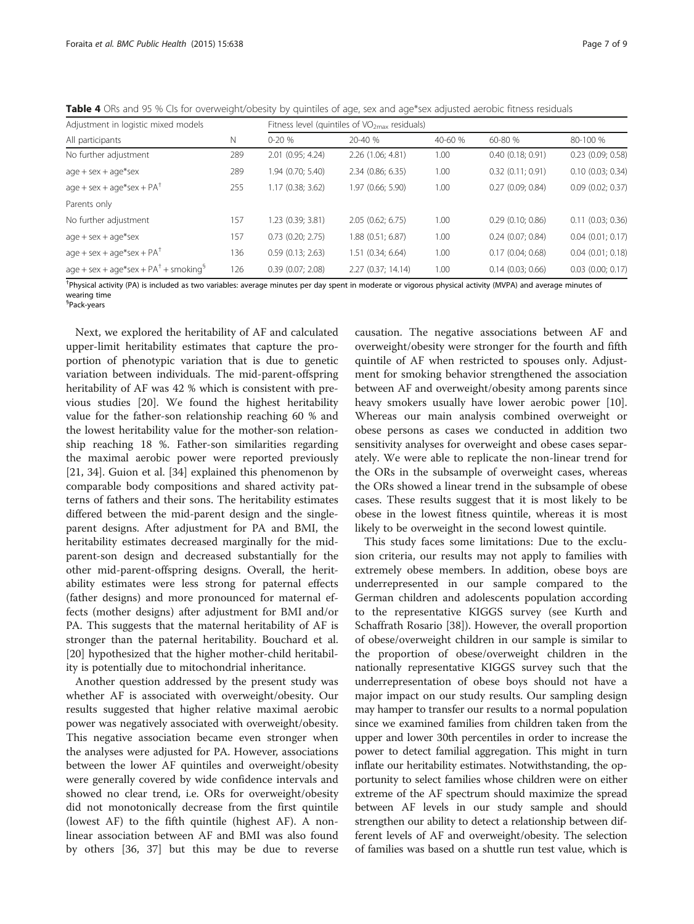<span id="page-6-0"></span>Table 4 ORs and 95 % CIs for overweight/obesity by quintiles of age, sex and age\*sex adjusted aerobic fitness residuals

| Adjustment in logistic mixed models    |     | Fitness level (quintiles of $VO2max$ residuals) |                     |         |                       |                       |  |  |  |
|----------------------------------------|-----|-------------------------------------------------|---------------------|---------|-----------------------|-----------------------|--|--|--|
| All participants                       | Ν   | $0 - 20%$                                       | 20-40 %             | 40-60 % | 60-80 %               | 80-100 %              |  |  |  |
| No further adjustment                  | 289 | 2.01 (0.95; 4.24)                               | 2.26(1.06; 4.81)    | 1.00    | 0.40(0.18; 0.91)      | $0.23$ (0.09; 0.58)   |  |  |  |
| $age + sex + age*sex$                  | 289 | 1.94 (0.70; 5.40)                               | 2.34(0.86; 6.35)    | 1.00    | $0.32$ $(0.11; 0.91)$ | 0.10(0.03; 0.34)      |  |  |  |
| $age + sex + age*sex + PA†$            | 255 | 1.17(0.38; 3.62)                                | 1.97 (0.66; 5.90)   | 1.00    | 0.27(0.09; 0.84)      | $0.09$ $(0.02; 0.37)$ |  |  |  |
| Parents only                           |     |                                                 |                     |         |                       |                       |  |  |  |
| No further adjustment                  | 157 | 1.23(0.39; 3.81)                                | 2.05(0.62; 6.75)    | 1.00    | $0.29$ (0.10; 0.86)   | 0.11(0.03; 0.36)      |  |  |  |
| $age + sex + age*sex$                  | 157 | $0.73$ (0.20; 2.75)                             | $1.88$ (0.51; 6.87) | 1.00    | $0.24$ (0.07; 0.84)   | $0.04$ $(0.01; 0.17)$ |  |  |  |
| $age + sex + age*sex + PA†$            | 136 | 0.59(0.13; 2.63)                                | 1.51(0.34; 6.64)    | 1.00    | 0.17(0.04; 0.68)      | $0.04$ $(0.01; 0.18)$ |  |  |  |
| $age + sex + age*sex + PA+ + smoking§$ | 126 | 0.39(0.07; 2.08)                                | 2.27 (0.37; 14.14)  | 1.00    | $0.14$ (0.03; 0.66)   | $0.03$ $(0.00; 0.17)$ |  |  |  |

† Physical activity (PA) is included as two variables: average minutes per day spent in moderate or vigorous physical activity (MVPA) and average minutes of wearing time § Pack-years

Next, we explored the heritability of AF and calculated upper-limit heritability estimates that capture the proportion of phenotypic variation that is due to genetic variation between individuals. The mid-parent-offspring heritability of AF was 42 % which is consistent with previous studies [\[20](#page-8-0)]. We found the highest heritability value for the father-son relationship reaching 60 % and the lowest heritability value for the mother-son relationship reaching 18 %. Father-son similarities regarding the maximal aerobic power were reported previously [[21, 34\]](#page-8-0). Guion et al. [[34\]](#page-8-0) explained this phenomenon by comparable body compositions and shared activity patterns of fathers and their sons. The heritability estimates differed between the mid-parent design and the singleparent designs. After adjustment for PA and BMI, the heritability estimates decreased marginally for the midparent-son design and decreased substantially for the other mid-parent-offspring designs. Overall, the heritability estimates were less strong for paternal effects (father designs) and more pronounced for maternal effects (mother designs) after adjustment for BMI and/or PA. This suggests that the maternal heritability of AF is stronger than the paternal heritability. Bouchard et al. [[20\]](#page-8-0) hypothesized that the higher mother-child heritability is potentially due to mitochondrial inheritance.

Another question addressed by the present study was whether AF is associated with overweight/obesity. Our results suggested that higher relative maximal aerobic power was negatively associated with overweight/obesity. This negative association became even stronger when the analyses were adjusted for PA. However, associations between the lower AF quintiles and overweight/obesity were generally covered by wide confidence intervals and showed no clear trend, i.e. ORs for overweight/obesity did not monotonically decrease from the first quintile (lowest AF) to the fifth quintile (highest AF). A nonlinear association between AF and BMI was also found by others [[36](#page-8-0), [37\]](#page-8-0) but this may be due to reverse

causation. The negative associations between AF and overweight/obesity were stronger for the fourth and fifth quintile of AF when restricted to spouses only. Adjustment for smoking behavior strengthened the association between AF and overweight/obesity among parents since heavy smokers usually have lower aerobic power [\[10](#page-7-0)]. Whereas our main analysis combined overweight or obese persons as cases we conducted in addition two sensitivity analyses for overweight and obese cases separately. We were able to replicate the non-linear trend for the ORs in the subsample of overweight cases, whereas the ORs showed a linear trend in the subsample of obese cases. These results suggest that it is most likely to be obese in the lowest fitness quintile, whereas it is most likely to be overweight in the second lowest quintile.

This study faces some limitations: Due to the exclusion criteria, our results may not apply to families with extremely obese members. In addition, obese boys are underrepresented in our sample compared to the German children and adolescents population according to the representative KIGGS survey (see Kurth and Schaffrath Rosario [\[38\]](#page-8-0)). However, the overall proportion of obese/overweight children in our sample is similar to the proportion of obese/overweight children in the nationally representative KIGGS survey such that the underrepresentation of obese boys should not have a major impact on our study results. Our sampling design may hamper to transfer our results to a normal population since we examined families from children taken from the upper and lower 30th percentiles in order to increase the power to detect familial aggregation. This might in turn inflate our heritability estimates. Notwithstanding, the opportunity to select families whose children were on either extreme of the AF spectrum should maximize the spread between AF levels in our study sample and should strengthen our ability to detect a relationship between different levels of AF and overweight/obesity. The selection of families was based on a shuttle run test value, which is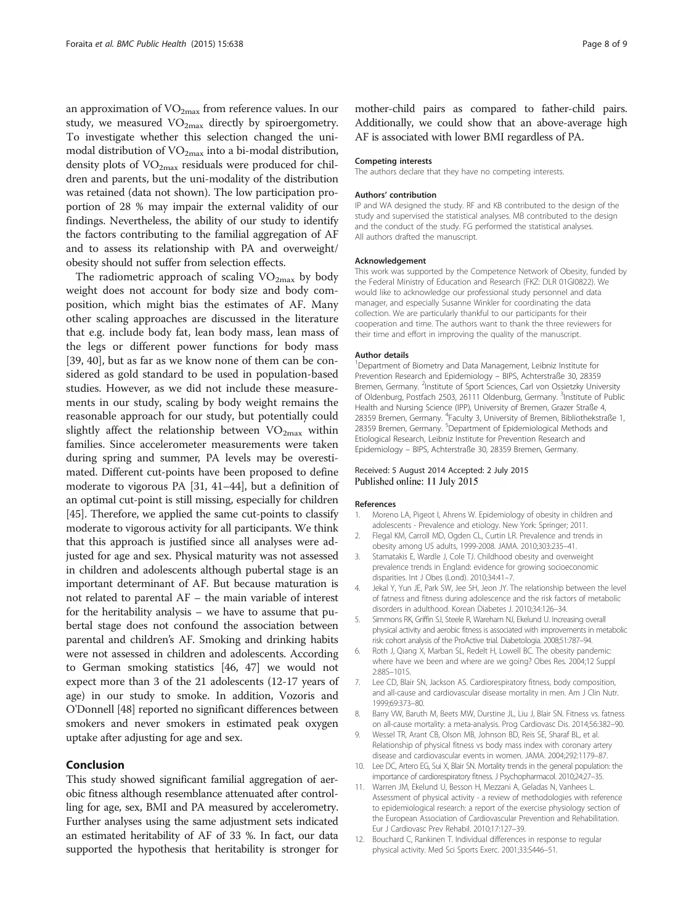<span id="page-7-0"></span>an approximation of  $VO<sub>2max</sub>$  from reference values. In our study, we measured  $VO<sub>2max</sub>$  directly by spiroergometry. To investigate whether this selection changed the unimodal distribution of  $VO<sub>2max</sub>$  into a bi-modal distribution, density plots of  $VO<sub>2max</sub>$  residuals were produced for children and parents, but the uni-modality of the distribution was retained (data not shown). The low participation proportion of 28 % may impair the external validity of our findings. Nevertheless, the ability of our study to identify the factors contributing to the familial aggregation of AF and to assess its relationship with PA and overweight/ obesity should not suffer from selection effects.

The radiometric approach of scaling  $VO_{2max}$  by body weight does not account for body size and body composition, which might bias the estimates of AF. Many other scaling approaches are discussed in the literature that e.g. include body fat, lean body mass, lean mass of the legs or different power functions for body mass [[39, 40\]](#page-8-0), but as far as we know none of them can be considered as gold standard to be used in population-based studies. However, as we did not include these measurements in our study, scaling by body weight remains the reasonable approach for our study, but potentially could slightly affect the relationship between  $VO_{2max}$  within families. Since accelerometer measurements were taken during spring and summer, PA levels may be overestimated. Different cut-points have been proposed to define moderate to vigorous PA [\[31, 41](#page-8-0)–[44\]](#page-8-0), but a definition of an optimal cut-point is still missing, especially for children [[45](#page-8-0)]. Therefore, we applied the same cut-points to classify moderate to vigorous activity for all participants. We think that this approach is justified since all analyses were adjusted for age and sex. Physical maturity was not assessed in children and adolescents although pubertal stage is an important determinant of AF. But because maturation is not related to parental AF – the main variable of interest for the heritability analysis – we have to assume that pubertal stage does not confound the association between parental and children's AF. Smoking and drinking habits were not assessed in children and adolescents. According to German smoking statistics [[46](#page-8-0), [47](#page-8-0)] we would not expect more than 3 of the 21 adolescents (12-17 years of age) in our study to smoke. In addition, Vozoris and O'Donnell [[48](#page-8-0)] reported no significant differences between smokers and never smokers in estimated peak oxygen uptake after adjusting for age and sex.

# Conclusion

This study showed significant familial aggregation of aerobic fitness although resemblance attenuated after controlling for age, sex, BMI and PA measured by accelerometry. Further analyses using the same adjustment sets indicated an estimated heritability of AF of 33 %. In fact, our data supported the hypothesis that heritability is stronger for mother-child pairs as compared to father-child pairs. Additionally, we could show that an above-average high AF is associated with lower BMI regardless of PA.

#### Competing interests

The authors declare that they have no competing interests.

#### Authors' contribution

IP and WA designed the study. RF and KB contributed to the design of the study and supervised the statistical analyses. MB contributed to the design and the conduct of the study. FG performed the statistical analyses. All authors drafted the manuscript.

#### Acknowledgement

This work was supported by the Competence Network of Obesity, funded by the Federal Ministry of Education and Research (FKZ: DLR 01GI0822). We would like to acknowledge our professional study personnel and data manager, and especially Susanne Winkler for coordinating the data collection. We are particularly thankful to our participants for their cooperation and time. The authors want to thank the three reviewers for their time and effort in improving the quality of the manuscript.

#### Author details

<sup>1</sup>Department of Biometry and Data Management, Leibniz Institute for Prevention Research and Epidemiology – BIPS, Achterstraße 30, 28359 Bremen, Germany. <sup>2</sup>Institute of Sport Sciences, Carl von Ossietzky University of Oldenburg, Postfach 2503, 26111 Oldenburg, Germany. <sup>3</sup>Institute of Public Health and Nursing Science (IPP), University of Bremen, Grazer Straße 4, 28359 Bremen, Germany. <sup>4</sup> Faculty 3, University of Bremen, Bibliothekstraße 1, 28359 Bremen, Germany. <sup>5</sup>Department of Epidemiological Methods and Etiological Research, Leibniz Institute for Prevention Research and Epidemiology – BIPS, Achterstraße 30, 28359 Bremen, Germany.

#### Received: 5 August 2014 Accepted: 2 July 2015 Published online: 11 July 2015

#### References

- 1. Moreno LA, Pigeot I, Ahrens W. Epidemiology of obesity in children and adolescents - Prevalence and etiology. New York: Springer; 2011.
- 2. Flegal KM, Carroll MD, Ogden CL, Curtin LR. Prevalence and trends in obesity among US adults, 1999-2008. JAMA. 2010;303:235–41.
- 3. Stamatakis E, Wardle J, Cole TJ. Childhood obesity and overweight prevalence trends in England: evidence for growing socioeconomic disparities. Int J Obes (Lond). 2010;34:41–7.
- 4. Jekal Y, Yun JE, Park SW, Jee SH, Jeon JY. The relationship between the level of fatness and fitness during adolescence and the risk factors of metabolic disorders in adulthood. Korean Diabetes J. 2010;34:126–34.
- 5. Simmons RK, Griffin SJ, Steele R, Wareham NJ, Ekelund U. Increasing overall physical activity and aerobic fitness is associated with improvements in metabolic risk: cohort analysis of the ProActive trial. Diabetologia. 2008;51:787–94.
- 6. Roth J, Qiang X, Marban SL, Redelt H, Lowell BC. The obesity pandemic: where have we been and where are we going? Obes Res. 2004;12 Suppl 2:88S–101S.
- Lee CD, Blair SN, Jackson AS. Cardiorespiratory fitness, body composition, and all-cause and cardiovascular disease mortality in men. Am J Clin Nutr. 1999;69:373–80.
- 8. Barry VW, Baruth M, Beets MW, Durstine JL, Liu J, Blair SN. Fitness vs. fatness on all-cause mortality: a meta-analysis. Prog Cardiovasc Dis. 2014;56:382–90.
- 9. Wessel TR, Arant CB, Olson MB, Johnson BD, Reis SE, Sharaf BL, et al. Relationship of physical fitness vs body mass index with coronary artery disease and cardiovascular events in women. JAMA. 2004;292:1179–87.
- 10. Lee DC, Artero EG, Sui X, Blair SN. Mortality trends in the general population: the importance of cardiorespiratory fitness. J Psychopharmacol. 2010;24:27–35.
- 11. Warren JM, Ekelund U, Besson H, Mezzani A, Geladas N, Vanhees L. Assessment of physical activity - a review of methodologies with reference to epidemiological research: a report of the exercise physiology section of the European Association of Cardiovascular Prevention and Rehabilitation. Eur J Cardiovasc Prev Rehabil. 2010;17:127–39.
- 12. Bouchard C, Rankinen T. Individual differences in response to regular physical activity. Med Sci Sports Exerc. 2001;33:S446–51.